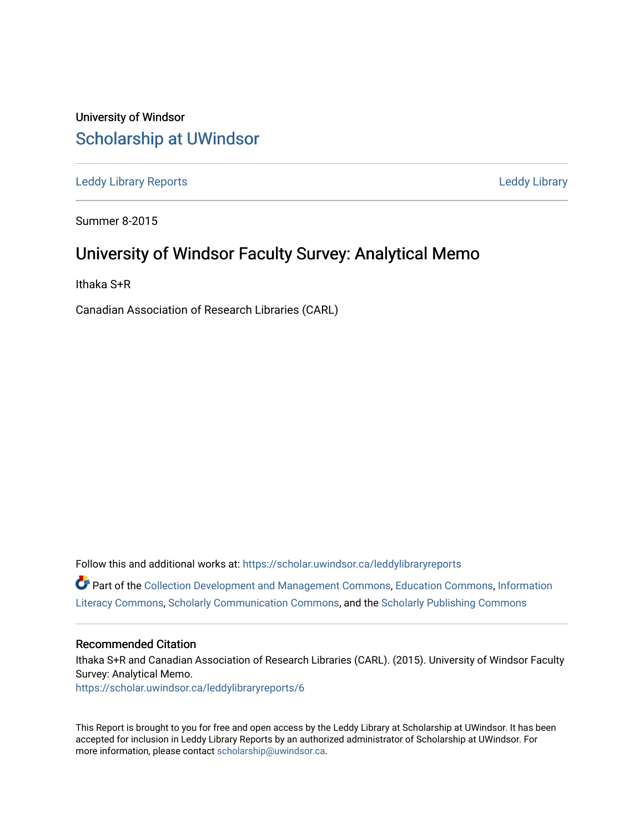### University of Windsor [Scholarship at UWindsor](https://scholar.uwindsor.ca/)

[Leddy Library Reports](https://scholar.uwindsor.ca/leddylibraryreports) [Leddy Library](https://scholar.uwindsor.ca/leddy) 

Summer 8-2015

### University of Windsor Faculty Survey: Analytical Memo

Ithaka S+R

Canadian Association of Research Libraries (CARL)

Follow this and additional works at: [https://scholar.uwindsor.ca/leddylibraryreports](https://scholar.uwindsor.ca/leddylibraryreports?utm_source=scholar.uwindsor.ca%2Fleddylibraryreports%2F6&utm_medium=PDF&utm_campaign=PDFCoverPages)  Part of the [Collection Development and Management Commons,](http://network.bepress.com/hgg/discipline/1271?utm_source=scholar.uwindsor.ca%2Fleddylibraryreports%2F6&utm_medium=PDF&utm_campaign=PDFCoverPages) [Education Commons](http://network.bepress.com/hgg/discipline/784?utm_source=scholar.uwindsor.ca%2Fleddylibraryreports%2F6&utm_medium=PDF&utm_campaign=PDFCoverPages), [Information](http://network.bepress.com/hgg/discipline/1243?utm_source=scholar.uwindsor.ca%2Fleddylibraryreports%2F6&utm_medium=PDF&utm_campaign=PDFCoverPages) [Literacy Commons,](http://network.bepress.com/hgg/discipline/1243?utm_source=scholar.uwindsor.ca%2Fleddylibraryreports%2F6&utm_medium=PDF&utm_campaign=PDFCoverPages) [Scholarly Communication Commons,](http://network.bepress.com/hgg/discipline/1272?utm_source=scholar.uwindsor.ca%2Fleddylibraryreports%2F6&utm_medium=PDF&utm_campaign=PDFCoverPages) and the [Scholarly Publishing Commons](http://network.bepress.com/hgg/discipline/1273?utm_source=scholar.uwindsor.ca%2Fleddylibraryreports%2F6&utm_medium=PDF&utm_campaign=PDFCoverPages)

#### Recommended Citation

Ithaka S+R and Canadian Association of Research Libraries (CARL). (2015). University of Windsor Faculty Survey: Analytical Memo. [https://scholar.uwindsor.ca/leddylibraryreports/6](https://scholar.uwindsor.ca/leddylibraryreports/6?utm_source=scholar.uwindsor.ca%2Fleddylibraryreports%2F6&utm_medium=PDF&utm_campaign=PDFCoverPages) 

This Report is brought to you for free and open access by the Leddy Library at Scholarship at UWindsor. It has been accepted for inclusion in Leddy Library Reports by an authorized administrator of Scholarship at UWindsor. For more information, please contact [scholarship@uwindsor.ca](mailto:scholarship@uwindsor.ca).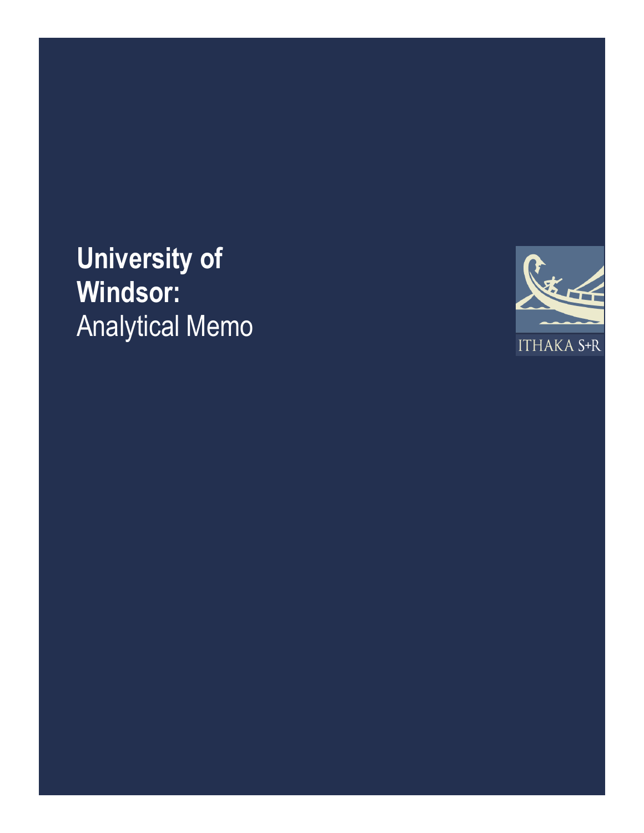# **University of Windsor:** Analytical Memo

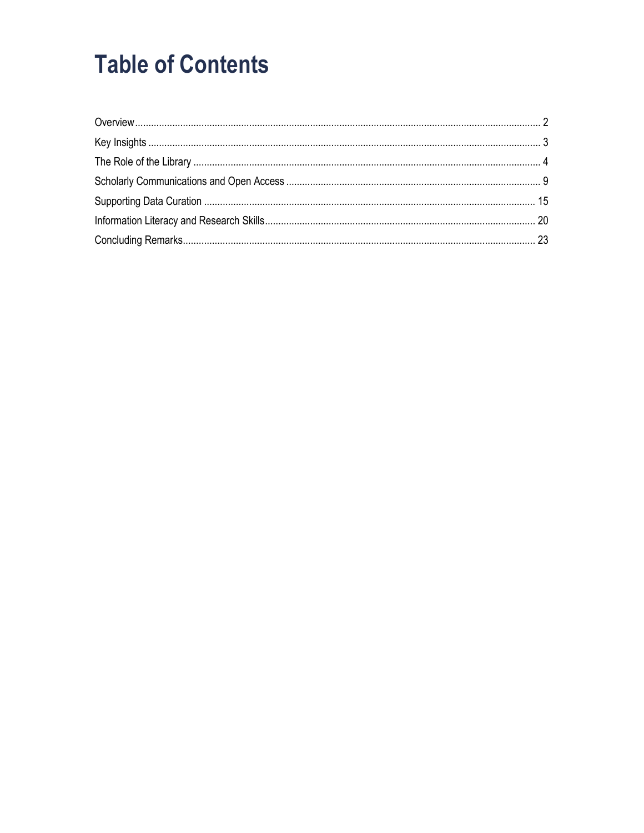### **Table of Contents**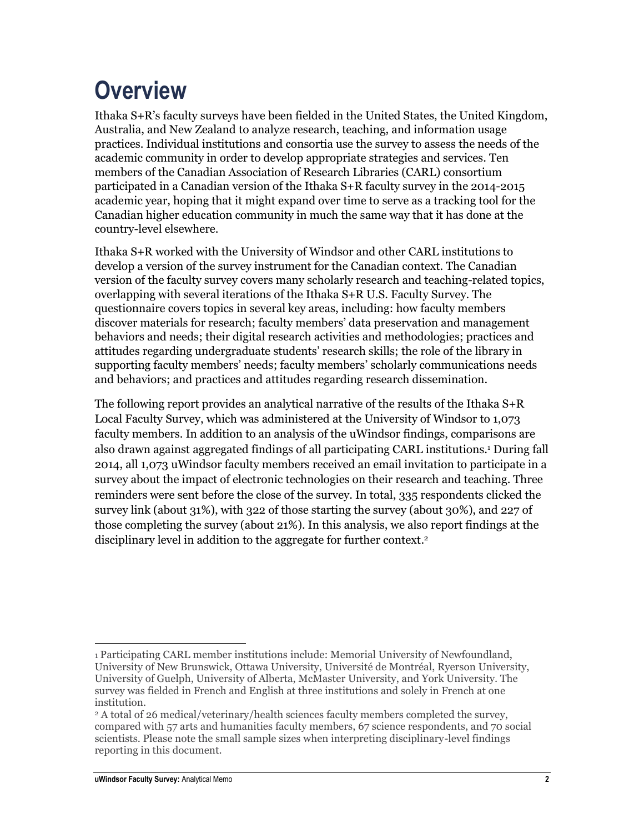## <span id="page-3-0"></span>**Overview**

Ithaka S+R's faculty surveys have been fielded in the United States, the United Kingdom, Australia, and New Zealand to analyze research, teaching, and information usage practices. Individual institutions and consortia use the survey to assess the needs of the academic community in order to develop appropriate strategies and services. Ten members of the Canadian Association of Research Libraries (CARL) consortium participated in a Canadian version of the Ithaka S+R faculty survey in the 2014-2015 academic year, hoping that it might expand over time to serve as a tracking tool for the Canadian higher education community in much the same way that it has done at the country-level elsewhere.

Ithaka S+R worked with the University of Windsor and other CARL institutions to develop a version of the survey instrument for the Canadian context. The Canadian version of the faculty survey covers many scholarly research and teaching-related topics, overlapping with several iterations of the Ithaka S+R U.S. Faculty Survey. The questionnaire covers topics in several key areas, including: how faculty members discover materials for research; faculty members' data preservation and management behaviors and needs; their digital research activities and methodologies; practices and attitudes regarding undergraduate students' research skills; the role of the library in supporting faculty members' needs; faculty members' scholarly communications needs and behaviors; and practices and attitudes regarding research dissemination.

The following report provides an analytical narrative of the results of the Ithaka S+R Local Faculty Survey, which was administered at the University of Windsor to 1,073 faculty members. In addition to an analysis of the uWindsor findings, comparisons are also drawn against aggregated findings of all participating CARL institutions. <sup>1</sup> During fall 2014, all 1,073 uWindsor faculty members received an email invitation to participate in a survey about the impact of electronic technologies on their research and teaching. Three reminders were sent before the close of the survey. In total, 335 respondents clicked the survey link (about 31%), with 322 of those starting the survey (about 30%), and 227 of those completing the survey (about 21%). In this analysis, we also report findings at the disciplinary level in addition to the aggregate for further context. 2

 $\overline{\phantom{a}}$ 1 Participating CARL member institutions include: Memorial University of Newfoundland, University of New Brunswick, Ottawa University, Université de Montréal, Ryerson University, University of Guelph, University of Alberta, McMaster University, and York University. The survey was fielded in French and English at three institutions and solely in French at one institution.

<sup>2</sup> A total of 26 medical/veterinary/health sciences faculty members completed the survey, compared with 57 arts and humanities faculty members, 67 science respondents, and 70 social scientists. Please note the small sample sizes when interpreting disciplinary-level findings reporting in this document.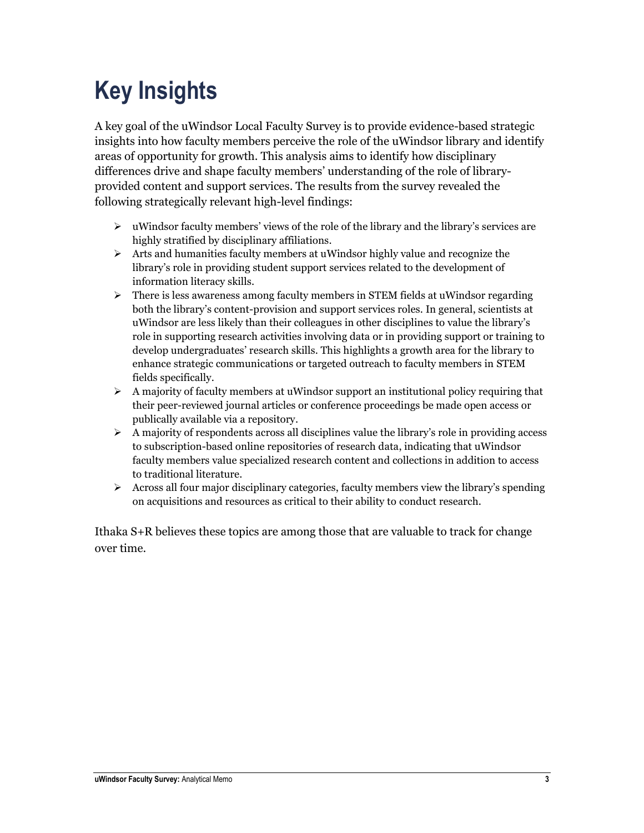# <span id="page-4-0"></span>**Key Insights**

A key goal of the uWindsor Local Faculty Survey is to provide evidence-based strategic insights into how faculty members perceive the role of the uWindsor library and identify areas of opportunity for growth. This analysis aims to identify how disciplinary differences drive and shape faculty members' understanding of the role of libraryprovided content and support services. The results from the survey revealed the following strategically relevant high-level findings:

- $\triangleright$  uWindsor faculty members' views of the role of the library and the library's services are highly stratified by disciplinary affiliations.
- $\triangleright$  Arts and humanities faculty members at uWindsor highly value and recognize the library's role in providing student support services related to the development of information literacy skills.
- $\triangleright$  There is less awareness among faculty members in STEM fields at uWindsor regarding both the library's content-provision and support services roles. In general, scientists at uWindsor are less likely than their colleagues in other disciplines to value the library's role in supporting research activities involving data or in providing support or training to develop undergraduates' research skills. This highlights a growth area for the library to enhance strategic communications or targeted outreach to faculty members in STEM fields specifically.
- $\triangleright$  A majority of faculty members at uWindsor support an institutional policy requiring that their peer-reviewed journal articles or conference proceedings be made open access or publically available via a repository.
- $\triangleright$  A majority of respondents across all disciplines value the library's role in providing access to subscription-based online repositories of research data, indicating that uWindsor faculty members value specialized research content and collections in addition to access to traditional literature.
- $\triangleright$  Across all four major disciplinary categories, faculty members view the library's spending on acquisitions and resources as critical to their ability to conduct research.

Ithaka S+R believes these topics are among those that are valuable to track for change over time.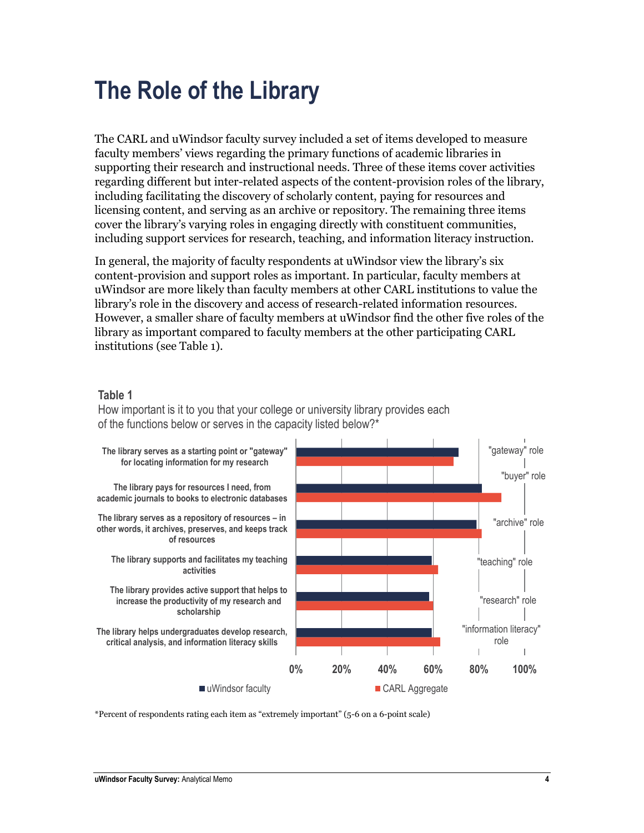### <span id="page-5-0"></span>**The Role of the Library**

The CARL and uWindsor faculty survey included a set of items developed to measure faculty members' views regarding the primary functions of academic libraries in supporting their research and instructional needs. Three of these items cover activities regarding different but inter-related aspects of the content-provision roles of the library, including facilitating the discovery of scholarly content, paying for resources and licensing content, and serving as an archive or repository. The remaining three items cover the library's varying roles in engaging directly with constituent communities, including support services for research, teaching, and information literacy instruction.

In general, the majority of faculty respondents at uWindsor view the library's six content-provision and support roles as important. In particular, faculty members at uWindsor are more likely than faculty members at other CARL institutions to value the library's role in the discovery and access of research-related information resources. However, a smaller share of faculty members at uWindsor find the other five roles of the library as important compared to faculty members at the other participating CARL institutions (see Table 1).

#### **Table 1**

How important is it to you that your college or university library provides each of the functions below or serves in the capacity listed below?\*



\*Percent of respondents rating each item as "extremely important" (5-6 on a 6-point scale)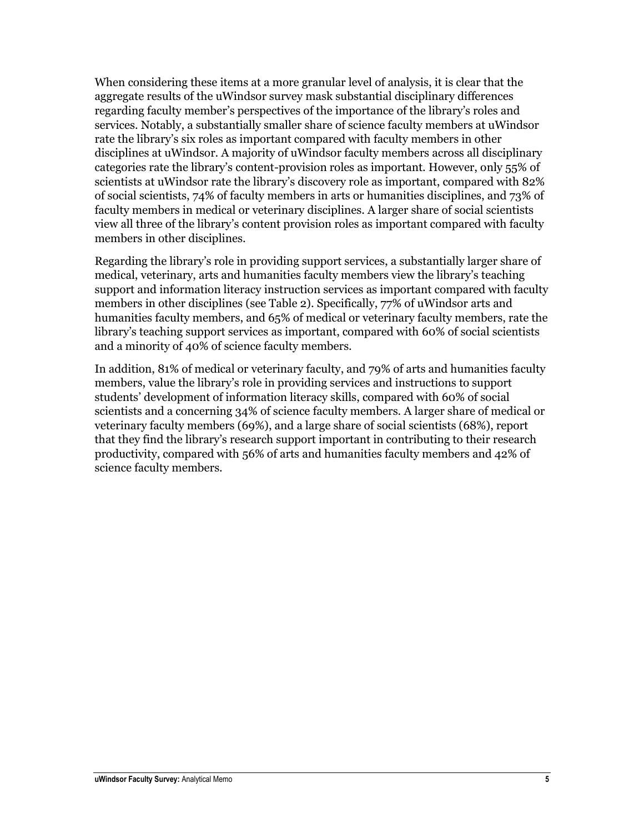When considering these items at a more granular level of analysis, it is clear that the aggregate results of the uWindsor survey mask substantial disciplinary differences regarding faculty member's perspectives of the importance of the library's roles and services. Notably, a substantially smaller share of science faculty members at uWindsor rate the library's six roles as important compared with faculty members in other disciplines at uWindsor. A majority of uWindsor faculty members across all disciplinary categories rate the library's content-provision roles as important. However, only 55% of scientists at uWindsor rate the library's discovery role as important, compared with 82% of social scientists, 74% of faculty members in arts or humanities disciplines, and 73% of faculty members in medical or veterinary disciplines. A larger share of social scientists view all three of the library's content provision roles as important compared with faculty members in other disciplines.

Regarding the library's role in providing support services, a substantially larger share of medical, veterinary, arts and humanities faculty members view the library's teaching support and information literacy instruction services as important compared with faculty members in other disciplines (see Table 2). Specifically, 77% of uWindsor arts and humanities faculty members, and 65% of medical or veterinary faculty members, rate the library's teaching support services as important, compared with 60% of social scientists and a minority of 40% of science faculty members.

In addition, 81% of medical or veterinary faculty, and 79% of arts and humanities faculty members, value the library's role in providing services and instructions to support students' development of information literacy skills, compared with 60% of social scientists and a concerning 34% of science faculty members. A larger share of medical or veterinary faculty members (69%), and a large share of social scientists (68%), report that they find the library's research support important in contributing to their research productivity, compared with 56% of arts and humanities faculty members and 42% of science faculty members.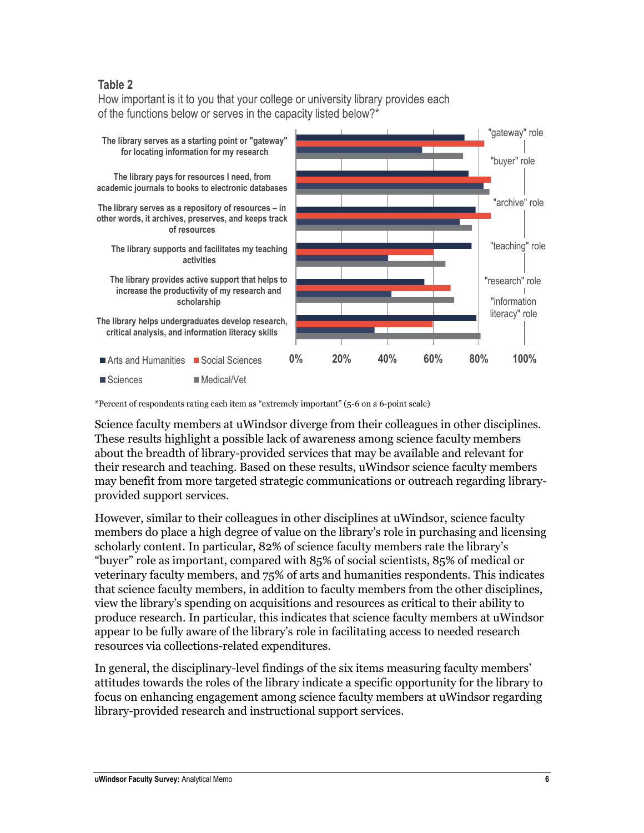#### **Table 2**

How important is it to you that your college or university library provides each of the functions below or serves in the capacity listed below?\*



\*Percent of respondents rating each item as "extremely important" (5-6 on a 6-point scale)

Science faculty members at uWindsor diverge from their colleagues in other disciplines. These results highlight a possible lack of awareness among science faculty members about the breadth of library-provided services that may be available and relevant for their research and teaching. Based on these results, uWindsor science faculty members may benefit from more targeted strategic communications or outreach regarding libraryprovided support services.

However, similar to their colleagues in other disciplines at uWindsor, science faculty members do place a high degree of value on the library's role in purchasing and licensing scholarly content. In particular, 82% of science faculty members rate the library's "buyer" role as important, compared with 85% of social scientists, 85% of medical or veterinary faculty members, and 75% of arts and humanities respondents. This indicates that science faculty members, in addition to faculty members from the other disciplines, view the library's spending on acquisitions and resources as critical to their ability to produce research. In particular, this indicates that science faculty members at uWindsor appear to be fully aware of the library's role in facilitating access to needed research resources via collections-related expenditures.

In general, the disciplinary-level findings of the six items measuring faculty members' attitudes towards the roles of the library indicate a specific opportunity for the library to focus on enhancing engagement among science faculty members at uWindsor regarding library-provided research and instructional support services.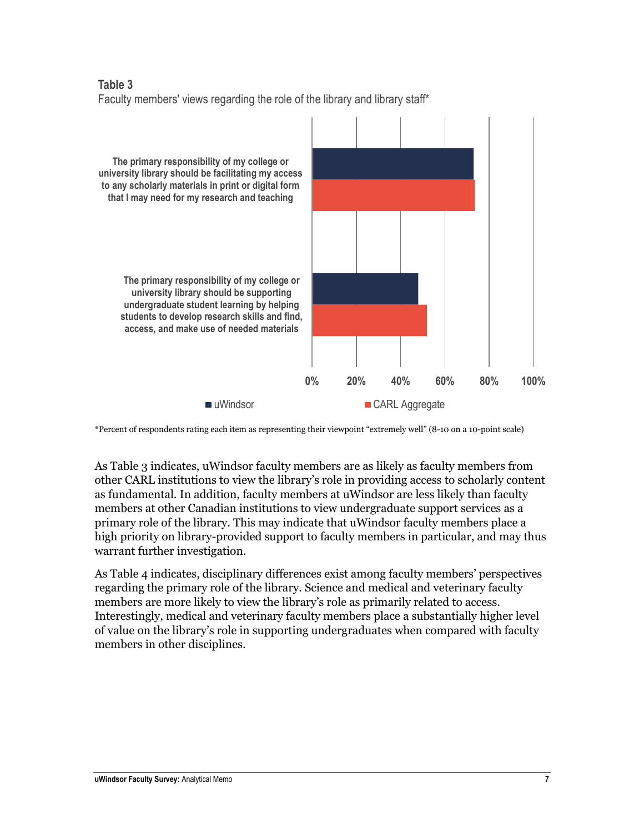#### **Table 3** Faculty members' views regarding the role of the library and library staff\*



\*Percent of respondents rating each item as representing their viewpoint "extremely well" (8-10 on a 10-point scale)

As Table 3 indicates, uWindsor faculty members are as likely as faculty members from other CARL institutions to view the library's role in providing access to scholarly content as fundamental. In addition, faculty members at uWindsor are less likely than faculty members at other Canadian institutions to view undergraduate support services as a primary role of the library. This may indicate that uWindsor faculty members place a high priority on library-provided support to faculty members in particular, and may thus warrant further investigation.

As Table 4 indicates, disciplinary differences exist among faculty members' perspectives regarding the primary role of the library. Science and medical and veterinary faculty members are more likely to view the library's role as primarily related to access. Interestingly, medical and veterinary faculty members place a substantially higher level of value on the library's role in supporting undergraduates when compared with faculty members in other disciplines.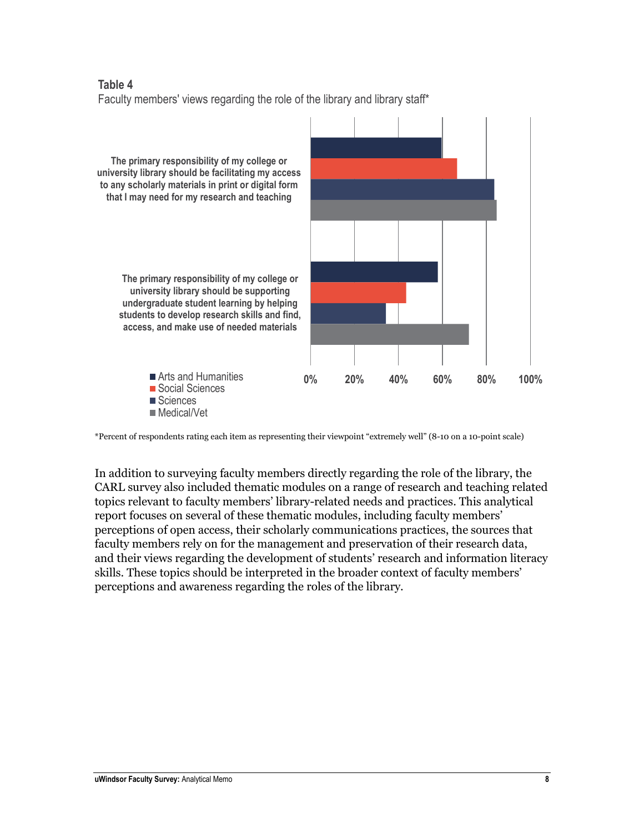#### **Table 4** Faculty members' views regarding the role of the library and library staff\*



\*Percent of respondents rating each item as representing their viewpoint "extremely well" (8-10 on a 10-point scale)

In addition to surveying faculty members directly regarding the role of the library, the CARL survey also included thematic modules on a range of research and teaching related topics relevant to faculty members' library-related needs and practices. This analytical report focuses on several of these thematic modules, including faculty members' perceptions of open access, their scholarly communications practices, the sources that faculty members rely on for the management and preservation of their research data, and their views regarding the development of students' research and information literacy skills. These topics should be interpreted in the broader context of faculty members' perceptions and awareness regarding the roles of the library.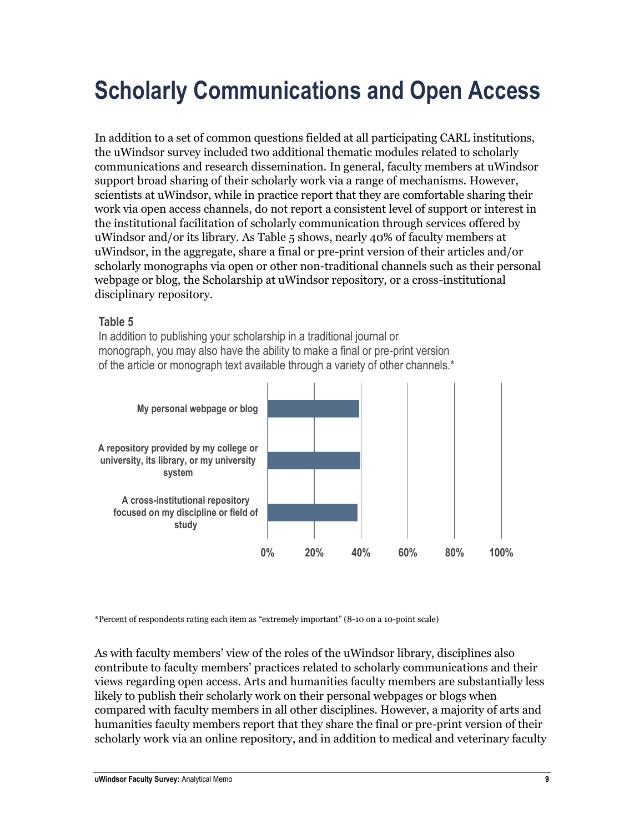### <span id="page-10-0"></span>**Scholarly Communications and Open Access**

In addition to a set of common questions fielded at all participating CARL institutions, the uWindsor survey included two additional thematic modules related to scholarly communications and research dissemination. In general, faculty members at uWindsor support broad sharing of their scholarly work via a range of mechanisms. However, scientists at uWindsor, while in practice report that they are comfortable sharing their work via open access channels, do not report a consistent level of support or interest in the institutional facilitation of scholarly communication through services offered by uWindsor and/or its library. As Table 5 shows, nearly 40% of faculty members at uWindsor, in the aggregate, share a final or pre-print version of their articles and/or scholarly monographs via open or other non-traditional channels such as their personal webpage or blog, the Scholarship at uWindsor repository, or a cross-institutional disciplinary repository.

#### **Table 5**

In addition to publishing your scholarship in a traditional journal or monograph, you may also have the ability to make a final or pre-print version of the article or monograph text available through a variety of other channels.\*



\*Percent of respondents rating each item as "extremely important" (8-10 on a 10-point scale)

As with faculty members' view of the roles of the uWindsor library, disciplines also contribute to faculty members' practices related to scholarly communications and their views regarding open access. Arts and humanities faculty members are substantially less likely to publish their scholarly work on their personal webpages or blogs when compared with faculty members in all other disciplines. However, a majority of arts and humanities faculty members report that they share the final or pre-print version of their scholarly work via an online repository, and in addition to medical and veterinary faculty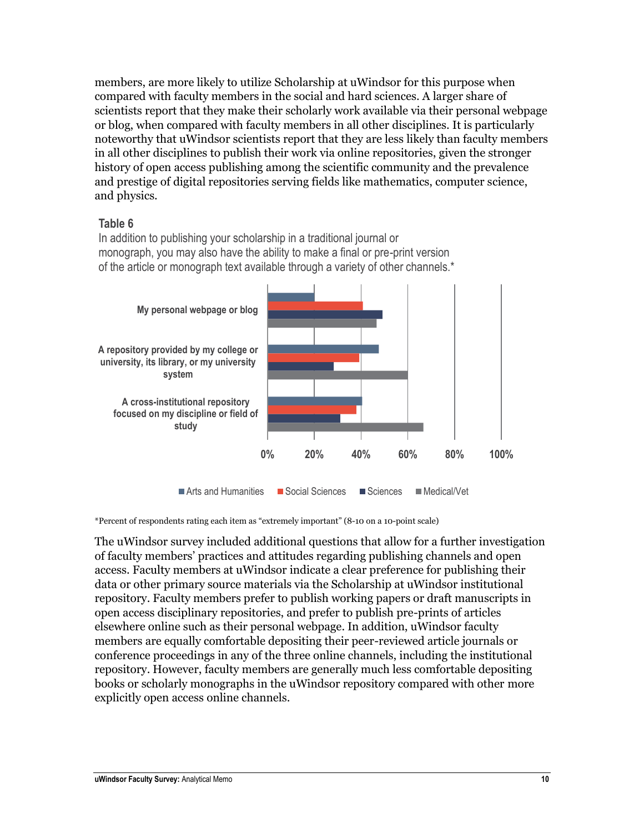members, are more likely to utilize Scholarship at uWindsor for this purpose when compared with faculty members in the social and hard sciences. A larger share of scientists report that they make their scholarly work available via their personal webpage or blog, when compared with faculty members in all other disciplines. It is particularly noteworthy that uWindsor scientists report that they are less likely than faculty members in all other disciplines to publish their work via online repositories, given the stronger history of open access publishing among the scientific community and the prevalence and prestige of digital repositories serving fields like mathematics, computer science, and physics.

#### **Table 6**

In addition to publishing your scholarship in a traditional journal or monograph, you may also have the ability to make a final or pre-print version of the article or monograph text available through a variety of other channels.\*



\*Percent of respondents rating each item as "extremely important" (8-10 on a 10-point scale)

The uWindsor survey included additional questions that allow for a further investigation of faculty members' practices and attitudes regarding publishing channels and open access. Faculty members at uWindsor indicate a clear preference for publishing their data or other primary source materials via the Scholarship at uWindsor institutional repository. Faculty members prefer to publish working papers or draft manuscripts in open access disciplinary repositories, and prefer to publish pre-prints of articles elsewhere online such as their personal webpage. In addition, uWindsor faculty members are equally comfortable depositing their peer-reviewed article journals or conference proceedings in any of the three online channels, including the institutional repository. However, faculty members are generally much less comfortable depositing books or scholarly monographs in the uWindsor repository compared with other more explicitly open access online channels.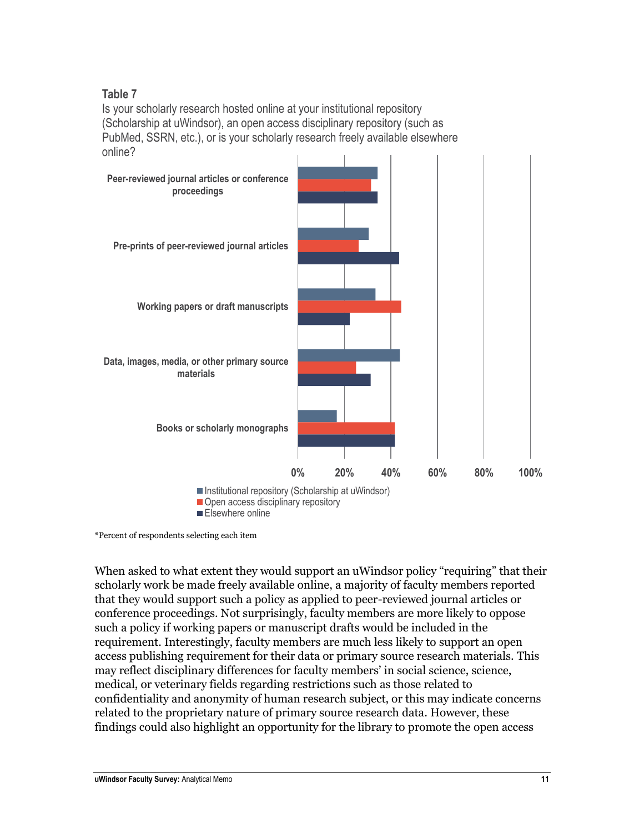#### **Table 7**

Is your scholarly research hosted online at your institutional repository (Scholarship at uWindsor), an open access disciplinary repository (such as PubMed, SSRN, etc.), or is your scholarly research freely available elsewhere online?



<sup>\*</sup>Percent of respondents selecting each item

When asked to what extent they would support an uWindsor policy "requiring" that their scholarly work be made freely available online, a majority of faculty members reported that they would support such a policy as applied to peer-reviewed journal articles or conference proceedings. Not surprisingly, faculty members are more likely to oppose such a policy if working papers or manuscript drafts would be included in the requirement. Interestingly, faculty members are much less likely to support an open access publishing requirement for their data or primary source research materials. This may reflect disciplinary differences for faculty members' in social science, science, medical, or veterinary fields regarding restrictions such as those related to confidentiality and anonymity of human research subject, or this may indicate concerns related to the proprietary nature of primary source research data. However, these findings could also highlight an opportunity for the library to promote the open access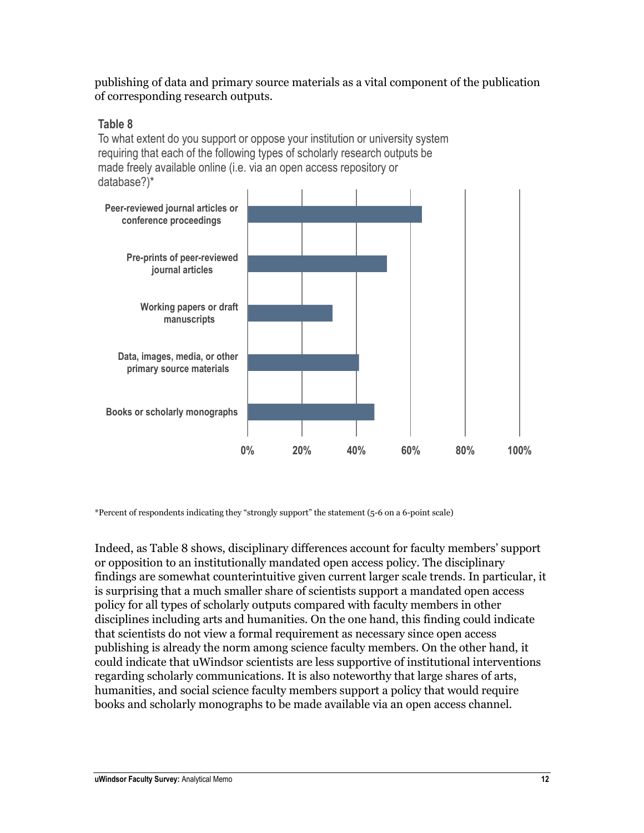publishing of data and primary source materials as a vital component of the publication of corresponding research outputs.

#### **Table 8**

To what extent do you support or oppose your institution or university system requiring that each of the following types of scholarly research outputs be made freely available online (i.e. via an open access repository or database?)\*



\*Percent of respondents indicating they "strongly support" the statement (5-6 on a 6-point scale)

Indeed, as Table 8 shows, disciplinary differences account for faculty members' support or opposition to an institutionally mandated open access policy. The disciplinary findings are somewhat counterintuitive given current larger scale trends. In particular, it is surprising that a much smaller share of scientists support a mandated open access policy for all types of scholarly outputs compared with faculty members in other disciplines including arts and humanities. On the one hand, this finding could indicate that scientists do not view a formal requirement as necessary since open access publishing is already the norm among science faculty members. On the other hand, it could indicate that uWindsor scientists are less supportive of institutional interventions regarding scholarly communications. It is also noteworthy that large shares of arts, humanities, and social science faculty members support a policy that would require books and scholarly monographs to be made available via an open access channel.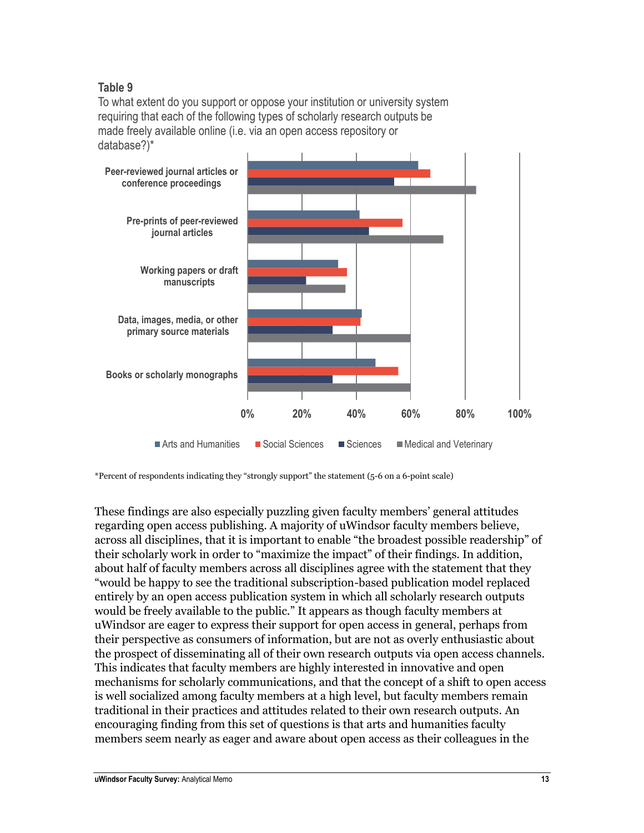#### **Table 9**

To what extent do you support or oppose your institution or university system requiring that each of the following types of scholarly research outputs be made freely available online (i.e. via an open access repository or database?)\*



\*Percent of respondents indicating they "strongly support" the statement (5-6 on a 6-point scale)

These findings are also especially puzzling given faculty members' general attitudes regarding open access publishing. A majority of uWindsor faculty members believe, across all disciplines, that it is important to enable "the broadest possible readership" of their scholarly work in order to "maximize the impact" of their findings. In addition, about half of faculty members across all disciplines agree with the statement that they "would be happy to see the traditional subscription-based publication model replaced entirely by an open access publication system in which all scholarly research outputs would be freely available to the public." It appears as though faculty members at uWindsor are eager to express their support for open access in general, perhaps from their perspective as consumers of information, but are not as overly enthusiastic about the prospect of disseminating all of their own research outputs via open access channels. This indicates that faculty members are highly interested in innovative and open mechanisms for scholarly communications, and that the concept of a shift to open access is well socialized among faculty members at a high level, but faculty members remain traditional in their practices and attitudes related to their own research outputs. An encouraging finding from this set of questions is that arts and humanities faculty members seem nearly as eager and aware about open access as their colleagues in the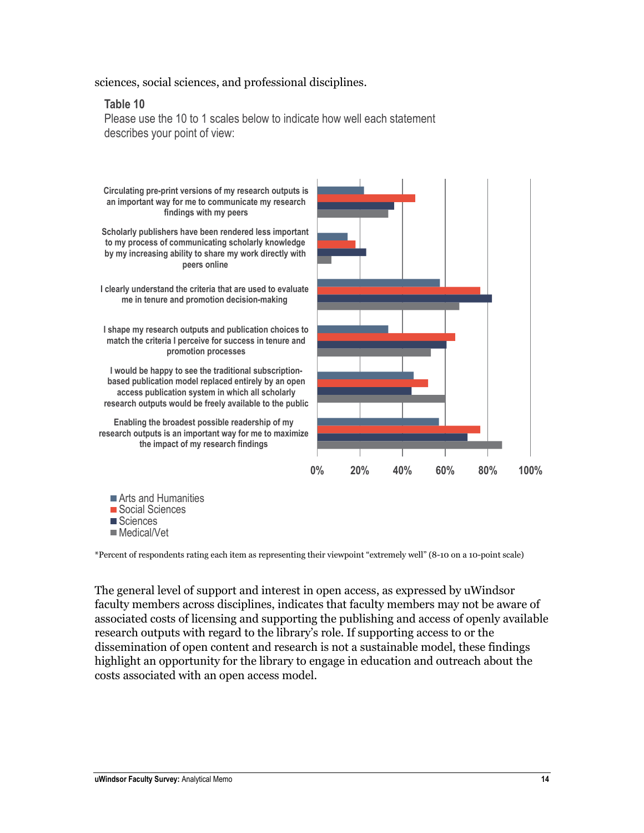sciences, social sciences, and professional disciplines.

#### **Table 10**

Please use the 10 to 1 scales below to indicate how well each statement describes your point of view:



Social Sciences Sciences **Medical/Vet** 

\*Percent of respondents rating each item as representing their viewpoint "extremely well" (8-10 on a 10-point scale)

The general level of support and interest in open access, as expressed by uWindsor faculty members across disciplines, indicates that faculty members may not be aware of associated costs of licensing and supporting the publishing and access of openly available research outputs with regard to the library's role. If supporting access to or the dissemination of open content and research is not a sustainable model, these findings highlight an opportunity for the library to engage in education and outreach about the costs associated with an open access model.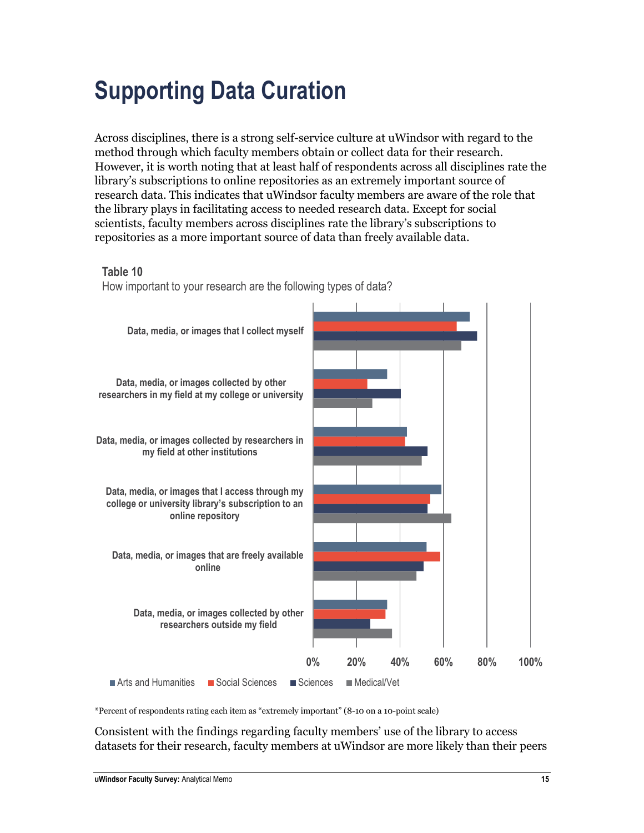### <span id="page-16-0"></span>**Supporting Data Curation**

Across disciplines, there is a strong self-service culture at uWindsor with regard to the method through which faculty members obtain or collect data for their research. However, it is worth noting that at least half of respondents across all disciplines rate the library's subscriptions to online repositories as an extremely important source of research data. This indicates that uWindsor faculty members are aware of the role that the library plays in facilitating access to needed research data. Except for social scientists, faculty members across disciplines rate the library's subscriptions to repositories as a more important source of data than freely available data.

#### **Table 10**

How important to your research are the following types of data?



\*Percent of respondents rating each item as "extremely important" (8-10 on a 10-point scale)

Consistent with the findings regarding faculty members' use of the library to access datasets for their research, faculty members at uWindsor are more likely than their peers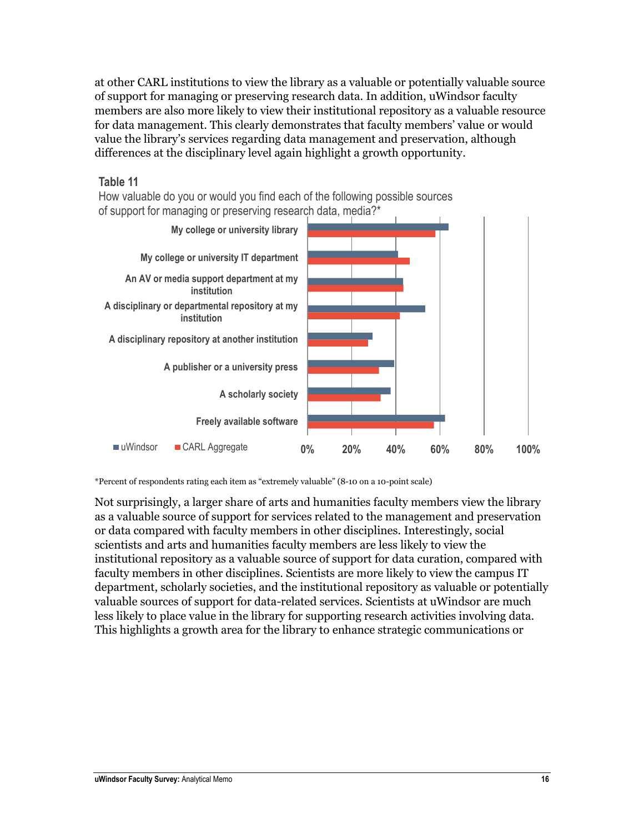at other CARL institutions to view the library as a valuable or potentially valuable source of support for managing or preserving research data. In addition, uWindsor faculty members are also more likely to view their institutional repository as a valuable resource for data management. This clearly demonstrates that faculty members' value or would value the library's services regarding data management and preservation, although differences at the disciplinary level again highlight a growth opportunity.



How valuable do you or would you find each of the following possible sources of support for managing or preserving research data, media?\*



\*Percent of respondents rating each item as "extremely valuable" (8-10 on a 10-point scale)

Not surprisingly, a larger share of arts and humanities faculty members view the library as a valuable source of support for services related to the management and preservation or data compared with faculty members in other disciplines. Interestingly, social scientists and arts and humanities faculty members are less likely to view the institutional repository as a valuable source of support for data curation, compared with faculty members in other disciplines. Scientists are more likely to view the campus IT department, scholarly societies, and the institutional repository as valuable or potentially valuable sources of support for data-related services. Scientists at uWindsor are much less likely to place value in the library for supporting research activities involving data. This highlights a growth area for the library to enhance strategic communications or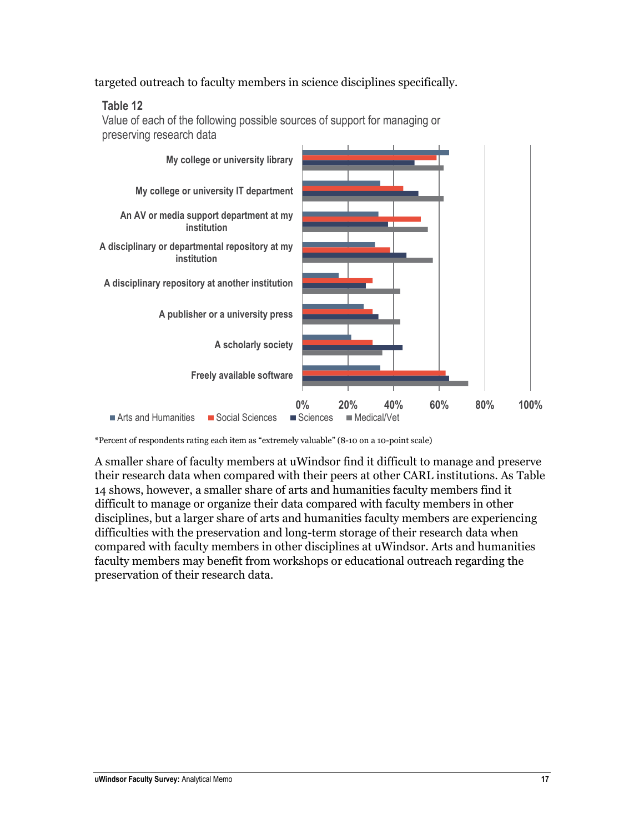targeted outreach to faculty members in science disciplines specifically.

#### **Table 12**

Value of each of the following possible sources of support for managing or preserving research data



\*Percent of respondents rating each item as "extremely valuable" (8-10 on a 10-point scale)

A smaller share of faculty members at uWindsor find it difficult to manage and preserve their research data when compared with their peers at other CARL institutions. As Table 14 shows, however, a smaller share of arts and humanities faculty members find it difficult to manage or organize their data compared with faculty members in other disciplines, but a larger share of arts and humanities faculty members are experiencing difficulties with the preservation and long-term storage of their research data when compared with faculty members in other disciplines at uWindsor. Arts and humanities faculty members may benefit from workshops or educational outreach regarding the preservation of their research data.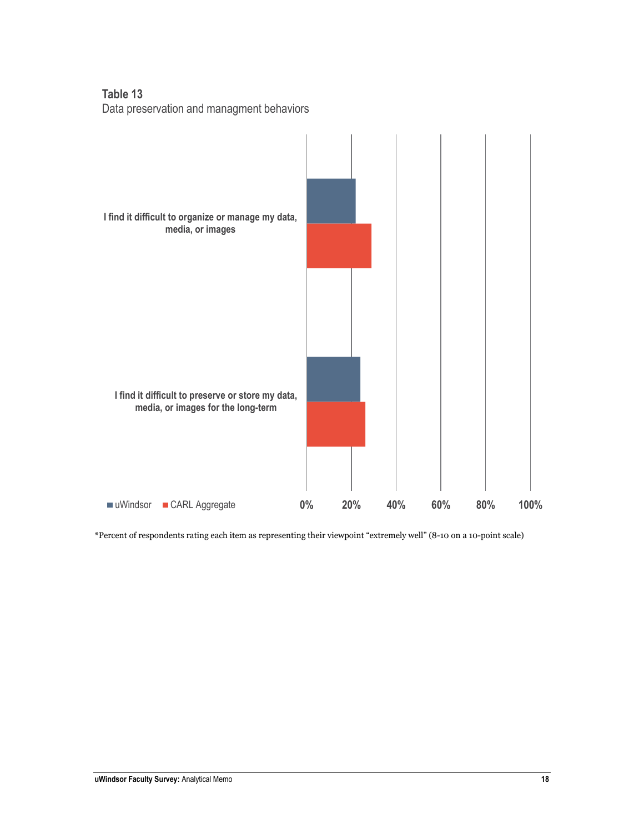**Table 13** Data preservation and managment behaviors



\*Percent of respondents rating each item as representing their viewpoint "extremely well" (8-10 on a 10-point scale)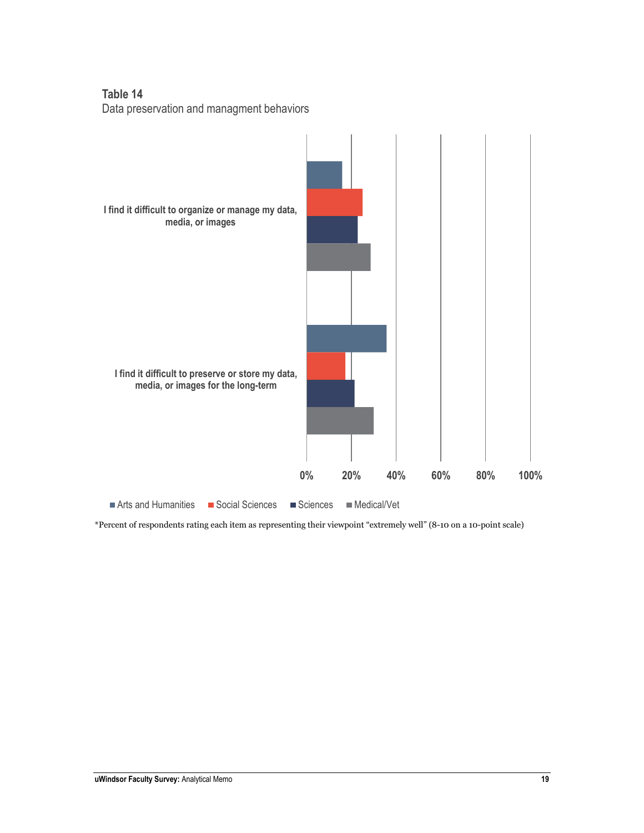**Table 14** Data preservation and managment behaviors



\*Percent of respondents rating each item as representing their viewpoint "extremely well" (8-10 on a 10-point scale)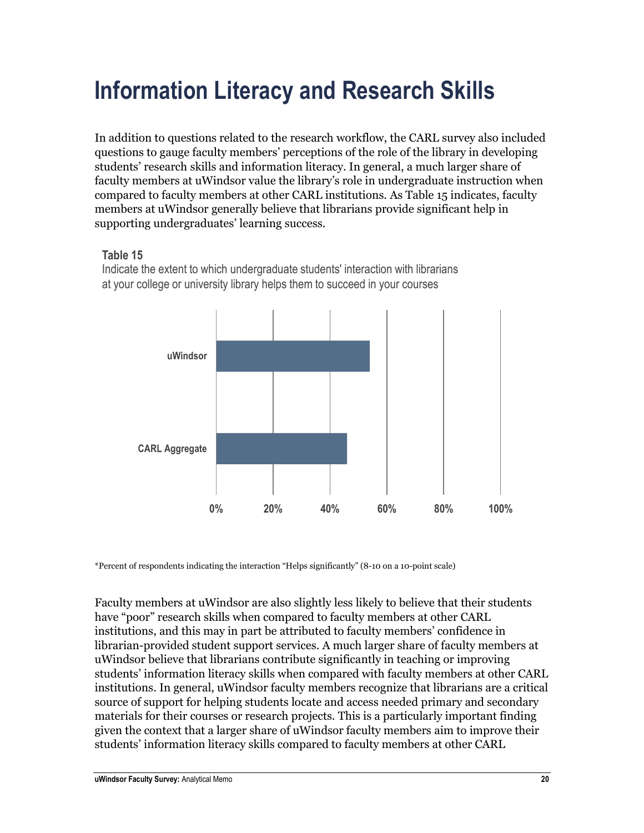### <span id="page-21-0"></span>**Information Literacy and Research Skills**

In addition to questions related to the research workflow, the CARL survey also included questions to gauge faculty members' perceptions of the role of the library in developing students' research skills and information literacy. In general, a much larger share of faculty members at uWindsor value the library's role in undergraduate instruction when compared to faculty members at other CARL institutions. As Table 15 indicates, faculty members at uWindsor generally believe that librarians provide significant help in supporting undergraduates' learning success.

#### **Table 15**

Indicate the extent to which undergraduate students' interaction with librarians at your college or university library helps them to succeed in your courses



\*Percent of respondents indicating the interaction "Helps significantly" (8-10 on a 10-point scale)

Faculty members at uWindsor are also slightly less likely to believe that their students have "poor" research skills when compared to faculty members at other CARL institutions, and this may in part be attributed to faculty members' confidence in librarian-provided student support services. A much larger share of faculty members at uWindsor believe that librarians contribute significantly in teaching or improving students' information literacy skills when compared with faculty members at other CARL institutions. In general, uWindsor faculty members recognize that librarians are a critical source of support for helping students locate and access needed primary and secondary materials for their courses or research projects. This is a particularly important finding given the context that a larger share of uWindsor faculty members aim to improve their students' information literacy skills compared to faculty members at other CARL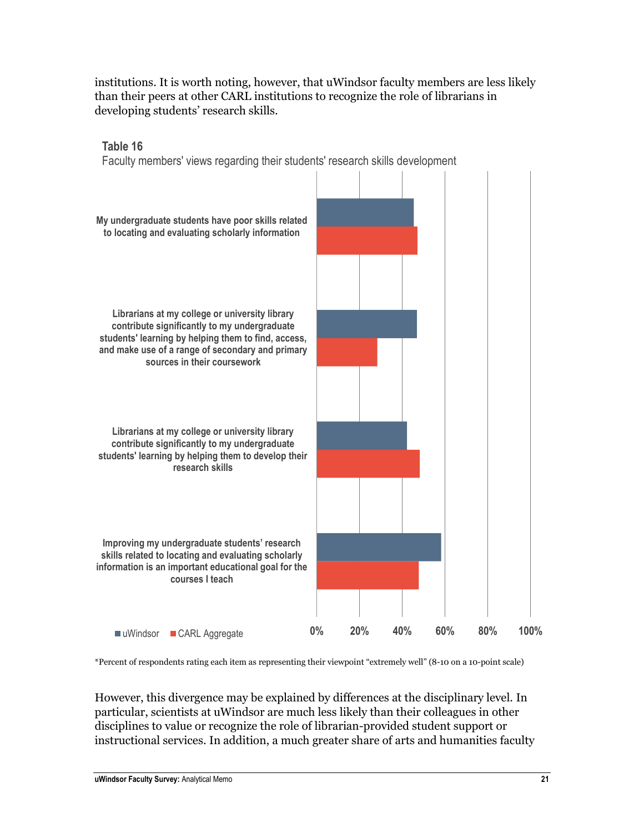institutions. It is worth noting, however, that uWindsor faculty members are less likely than their peers at other CARL institutions to recognize the role of librarians in developing students' research skills.



\*Percent of respondents rating each item as representing their viewpoint "extremely well" (8-10 on a 10-point scale)

However, this divergence may be explained by differences at the disciplinary level. In particular, scientists at uWindsor are much less likely than their colleagues in other disciplines to value or recognize the role of librarian-provided student support or instructional services. In addition, a much greater share of arts and humanities faculty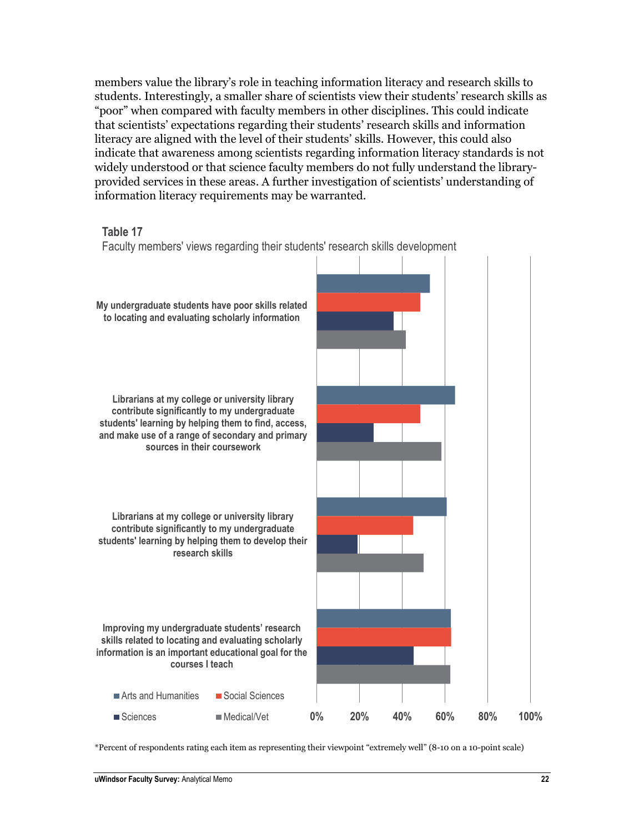members value the library's role in teaching information literacy and research skills to students. Interestingly, a smaller share of scientists view their students' research skills as "poor" when compared with faculty members in other disciplines. This could indicate that scientists' expectations regarding their students' research skills and information literacy are aligned with the level of their students' skills. However, this could also indicate that awareness among scientists regarding information literacy standards is not widely understood or that science faculty members do not fully understand the libraryprovided services in these areas. A further investigation of scientists' understanding of information literacy requirements may be warranted.





\*Percent of respondents rating each item as representing their viewpoint "extremely well" (8-10 on a 10-point scale)